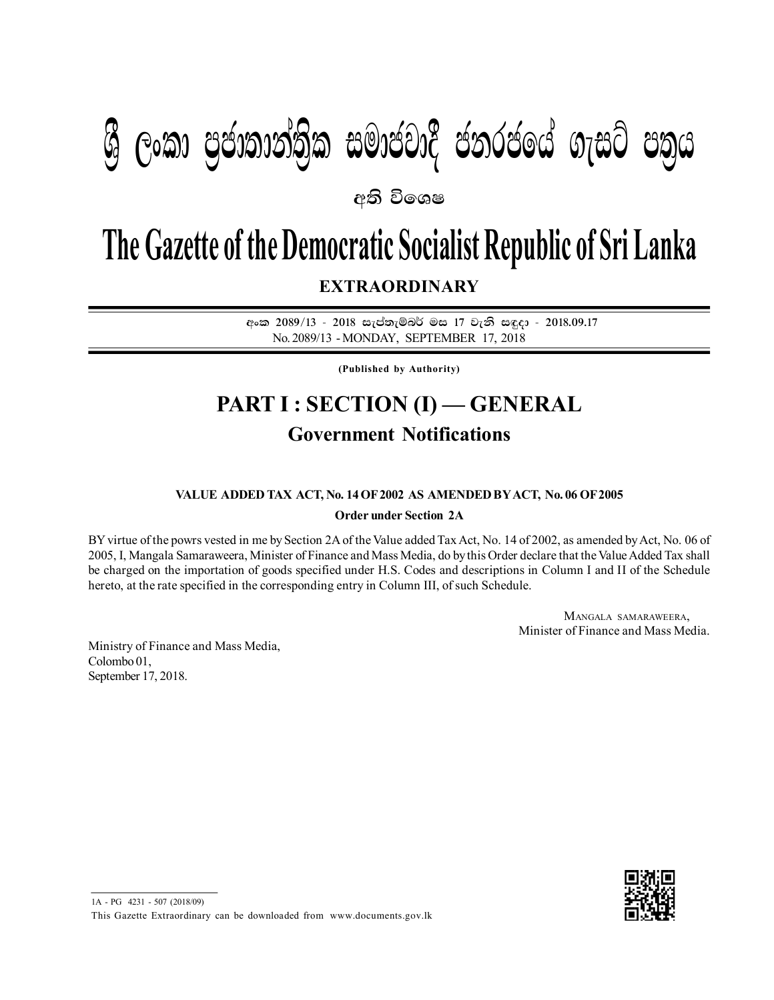# **යු ලංකා පුජාතාන්තික සමාජවාදී ජනරජයේ ගැසට් පතුය**

අති වි**ං**ශෂ

## **The Gazette of the Democratic Socialist Republic of Sri Lanka**

**EXTRAORDINARY**

අංක 2089/13 - 2018 සැප්තැම්බර් මස 17 වැනි සඳුදා - 2018.09.17 No. 2089/13 - MONDAY, SEPTEMBER 17, 2018

**(Published by Authority)**

### **PART I : SECTION (I) — GENERAL Government Notifications**

#### **VALUE ADDED TAX ACT, No. 14 OF 2002 AS AMENDED BY ACT, No. 06 OF 2005**

**Order under Section 2A**

BY virtue of the powrs vested in me by Section 2A of the Value added Tax Act, No. 14 of 2002, as amended by Act, No. 06 of 2005, I, Mangala Samaraweera, Minister of Finance and Mass Media, do by this Order declare that the Value Added Tax shall be charged on the importation of goods specified under H.S. Codes and descriptions in Column I and II of the Schedule hereto, at the rate specified in the corresponding entry in Column III, of such Schedule.

> MANGALA SAMARAWEERA, Minister of Finance and Mass Media.

Ministry of Finance and Mass Media, Colombo 01, September 17, 2018.



1A - PG 4231 - 507 (2018/09) This Gazette Extraordinary can be downloaded from www.documents.gov.lk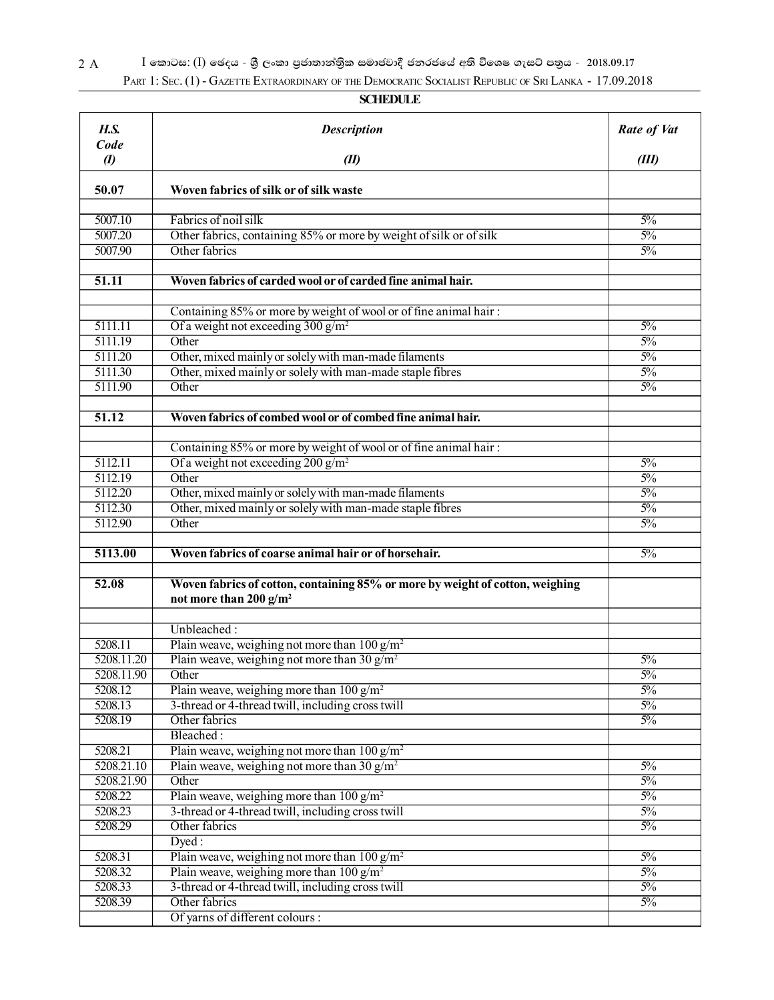2 A **I** කොටස: (I) ඡෙදය - ශුී ලංකා පුජාතාන්තිුක සමාජවාදී ජනරජයේ අති විශෙෂ ගැසට් පතුය - 2018.09.17

PART 1: SEC. (1) - GAZETTE EXTRAORDINARY OF THE DEMOCRATIC SOCIALIST REPUBLIC OF SRI LANKA - 17.09.2018

#### **SCHEDULE**

| <b>H.S.</b><br>Code | <b>Description</b>                                                            | Rate of Vat    |
|---------------------|-------------------------------------------------------------------------------|----------------|
| $\boldsymbol{v}$    | (II)                                                                          | (III)          |
| 50.07               | Woven fabrics of silk or of silk waste                                        |                |
| 5007.10             | Fabrics of noil silk                                                          | $5\%$          |
| 5007.20             | Other fabrics, containing 85% or more by weight of silk or of silk            | $5\%$          |
| 5007.90             | Other fabrics                                                                 | $5\%$          |
|                     |                                                                               |                |
| $\overline{51.11}$  | Woven fabrics of carded wool or of carded fine animal hair.                   |                |
|                     |                                                                               |                |
|                     | Containing 85% or more by weight of wool or of fine animal hair:              |                |
| 5111.11             | Of a weight not exceeding $300 \text{ g/m}^2$                                 | $5\%$          |
| 5111.19             | Other                                                                         | $5\%$          |
| 5111.20             | Other, mixed mainly or solely with man-made filaments                         | $5\%$          |
| 5111.30<br>5111.90  | Other, mixed mainly or solely with man-made staple fibres<br>Other            | $5\%$<br>$5\%$ |
|                     |                                                                               |                |
| 51.12               | Woven fabrics of combed wool or of combed fine animal hair.                   |                |
|                     |                                                                               |                |
|                     | Containing 85% or more by weight of wool or of fine animal hair:              |                |
| 5112.11             | Of a weight not exceeding $200$ g/m <sup>2</sup>                              | $5\%$          |
| 5112.19             | Other                                                                         | $5\%$          |
| 5112.20             | Other, mixed mainly or solely with man-made filaments                         | $5\%$          |
| 5112.30             | Other, mixed mainly or solely with man-made staple fibres                     | $5\%$          |
| 5112.90             | Other                                                                         | $5\%$          |
| 5113.00             | Woven fabrics of coarse animal hair or of horsehair.                          | $5\%$          |
|                     |                                                                               |                |
| 52.08               | Woven fabrics of cotton, containing 85% or more by weight of cotton, weighing |                |
|                     | not more than 200 $g/m^2$                                                     |                |
|                     | Unbleached:                                                                   |                |
| 5208.11             | Plain weave, weighing not more than $100 g/m^2$                               |                |
| 5208.11.20          | Plain weave, weighing not more than 30 $g/m^2$                                | $5\%$          |
| 5208.11.90          | Other                                                                         | $5\%$          |
| 5208.12             | Plain weave, weighing more than $100 \text{ g/m}^2$                           | $5\%$          |
| 5208.13             | 3-thread or 4-thread twill, including cross twill                             | $5\%$          |
| 5208.19             | Other fabrics                                                                 | $5\%$          |
|                     | Bleached:                                                                     |                |
| 5208.21             | Plain weave, weighing not more than $100 \text{ g/m}^2$                       |                |
| 5208.21.10          | Plain weave, weighing not more than 30 $g/m^2$                                | $5\%$          |
| 5208.21.90          | Other                                                                         | $5\%$          |
| 5208.22             | Plain weave, weighing more than $100 \frac{\text{g}}{\text{m}^2}$             | $5\%$          |
| 5208.23             | 3-thread or 4-thread twill, including cross twill                             | $5\%$          |
| 5208.29             | Other fabrics                                                                 | $5\%$          |
|                     | Dyed:                                                                         |                |
| 5208.31             | Plain weave, weighing not more than $100 \text{ g/m}^2$                       | $5\%$          |
| 5208.32             | Plain weave, weighing more than $100 \text{ g/m}^2$                           | $5\%$          |
| 5208.33             | 3-thread or 4-thread twill, including cross twill                             | $5\%$          |
| 5208.39             | Other fabrics                                                                 | $5\%$          |
|                     | Of yarns of different colours :                                               |                |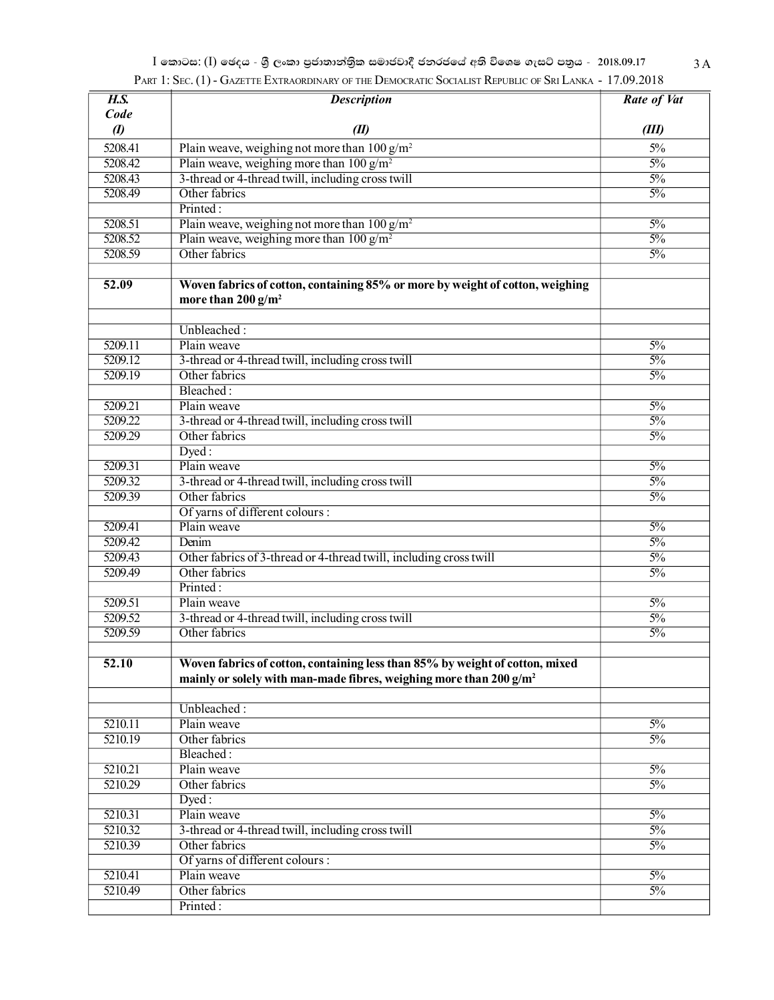| $\overline{H.S.}$ | <b>Description</b>                                                             | <b>Rate of Vat</b> |
|-------------------|--------------------------------------------------------------------------------|--------------------|
| Code              |                                                                                |                    |
| $\boldsymbol{v}$  | (II)                                                                           | (III)              |
| 5208.41           | Plain weave, weighing not more than $100$ g/m <sup>2</sup>                     | $5\%$              |
| 5208.42           | Plain weave, weighing more than $100 \text{ g/m}^2$                            | $\frac{50}{6}$     |
| 5208.43           | 3-thread or 4-thread twill, including cross twill                              | $\frac{50}{6}$     |
| 5208.49           | Other fabrics                                                                  | $\frac{50}{6}$     |
|                   | Printed:                                                                       |                    |
| 5208.51           | Plain weave, weighing not more than $100 g/m^2$                                | $\frac{50}{6}$     |
| 5208.52           | Plain weave, weighing more than $100 \text{ g/m}^2$                            | $\frac{50}{6}$     |
| 5208.59           | Other fabrics                                                                  | $\frac{5\%}{ }$    |
|                   |                                                                                |                    |
| 52.09             | Woven fabrics of cotton, containing 85% or more by weight of cotton, weighing  |                    |
|                   | more than $200 g/m^2$                                                          |                    |
|                   |                                                                                |                    |
|                   | Unbleached:                                                                    |                    |
| 5209.11           | Plain weave                                                                    | $\frac{50}{6}$     |
| 5209.12           | 3-thread or 4-thread twill, including cross twill                              | $\frac{50}{6}$     |
| 5209.19           | Other fabrics                                                                  | $\frac{50}{6}$     |
|                   | Bleached:                                                                      |                    |
| 5209.21           | Plain weave                                                                    | $\frac{50}{6}$     |
| 5209.22           | 3-thread or 4-thread twill, including cross twill                              | $\frac{50}{6}$     |
| 5209.29           | Other fabrics                                                                  | $\frac{5\%}{ }$    |
|                   | $D$ yed:                                                                       |                    |
| 5209.31           | Plain weave                                                                    | $\frac{50}{6}$     |
| 5209.32           | 3-thread or 4-thread twill, including cross twill                              | $\frac{50}{6}$     |
| 5209.39           | Other fabrics                                                                  | $\frac{5\%}{ }$    |
|                   | Of yarns of different colours :                                                |                    |
| 5209.41           | Plain weave                                                                    | $\frac{50}{6}$     |
| 5209.42           | Denim                                                                          | $\frac{50}{6}$     |
| 5209.43           | Other fabrics of 3-thread or 4-thread twill, including cross twill             | $\frac{50}{6}$     |
| 5209.49           | Other fabrics                                                                  | $\frac{5\%}{ }$    |
|                   | Printed:                                                                       |                    |
| 5209.51           | Plain weave                                                                    | $\frac{50}{6}$     |
| 5209.52           | 3-thread or 4-thread twill, including cross twill                              | $\frac{5\%}{ }$    |
| 5209.59           | Other fabrics                                                                  | $\frac{50}{6}$     |
|                   |                                                                                |                    |
| 52.10             | Woven fabrics of cotton, containing less than 85% by weight of cotton, mixed   |                    |
|                   | mainly or solely with man-made fibres, weighing more than 200 g/m <sup>2</sup> |                    |
|                   |                                                                                |                    |
|                   | Unbleached:                                                                    |                    |
| 5210.11           | Plain weave                                                                    | $\frac{50}{6}$     |
| 5210.19           | Other fabrics                                                                  | $\frac{50}{6}$     |
|                   | Bleached:                                                                      |                    |
| 5210.21           | Plain weave                                                                    | $\frac{50}{6}$     |
| 5210.29           | Other fabrics                                                                  | $\frac{50}{6}$     |
|                   | Dyed:                                                                          |                    |
| 5210.31           | Plain weave                                                                    | $\frac{50}{6}$     |
| 5210.32           | 3-thread or 4-thread twill, including cross twill                              | $\frac{50}{6}$     |
| 5210.39           | Other fabrics                                                                  | $\frac{50}{6}$     |
|                   | Of yarns of different colours :                                                |                    |
| 5210.41           | Plain weave                                                                    | $\frac{50}{6}$     |
| 5210.49           | Other fabrics                                                                  | $\frac{50}{6}$     |
|                   | Printed:                                                                       |                    |

| I කොටස: (I) ඡෙදය - ශුී ලංකා පුජාතාන්තිුක සමාජවාදී ජනරජයේ අති විශෙෂ ගැසට් පතුය - 2018.09.17              | 3 A |
|---------------------------------------------------------------------------------------------------------|-----|
| PART 1: SEC. (1) - GAZETTE EXTRAORDINARY OF THE DEMOCRATIC SOCIALIST REPUBLIC OF SRI LANKA - 17.09.2018 |     |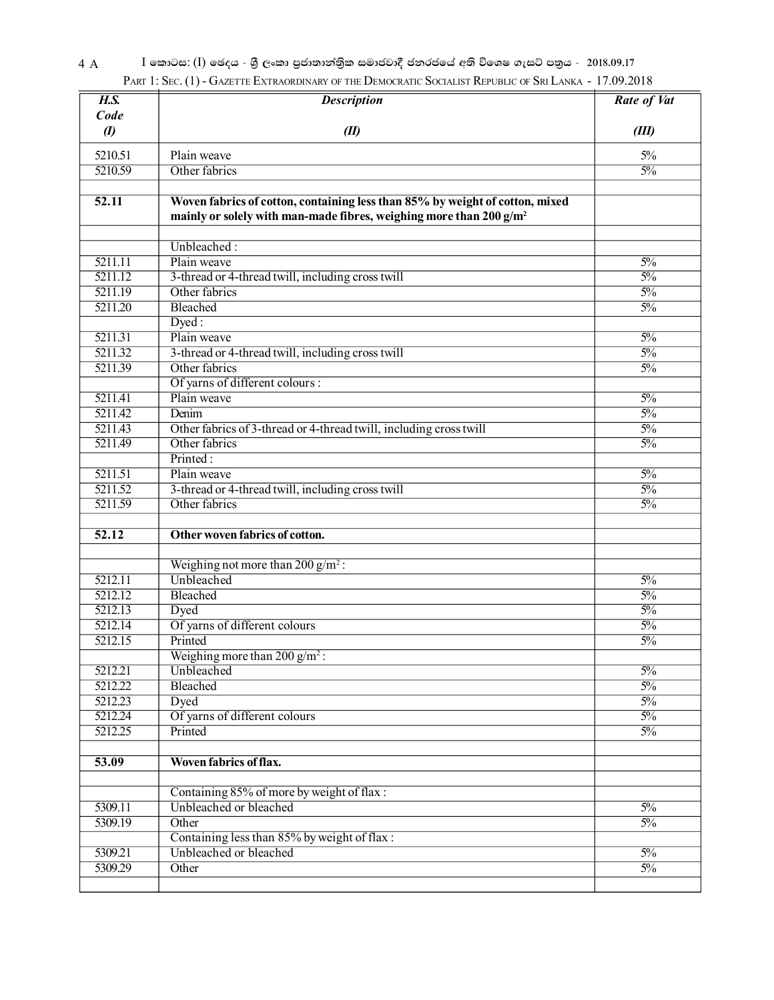4 A **I** කොටස: (I) ඡෙදය - ශීු ලංකා පුජාතාන්තිුක සමාජවාදී ජනරජයේ අති විශෙෂ ගැසට් පතුය - 2018.09.17

|                    | PART 1: SEC. (1) - GAZETTE EXTRAORDINARY OF THE DEMOCRATIC SOCIALIST REPUBLIC OF SRI LANKA - 17.09.2018 |                    |
|--------------------|---------------------------------------------------------------------------------------------------------|--------------------|
| $\overline{H.S.}$  | <b>Description</b>                                                                                      | <b>Rate of Vat</b> |
| Code               |                                                                                                         |                    |
| $\boldsymbol{v}$   | (II)                                                                                                    | (III)              |
| 5210.51            | Plain weave                                                                                             | 5%                 |
| 5210.59            | Other fabrics                                                                                           | $\frac{50}{6}$     |
|                    |                                                                                                         |                    |
| 52.11              | Woven fabrics of cotton, containing less than 85% by weight of cotton, mixed                            |                    |
|                    | mainly or solely with man-made fibres, weighing more than 200 g/m <sup>2</sup>                          |                    |
|                    |                                                                                                         |                    |
|                    | Unbleached:<br>Plain weave                                                                              | $\frac{50}{6}$     |
| 5211.11<br>5211.12 |                                                                                                         | $\frac{50}{6}$     |
| 5211.19            | 3-thread or 4-thread twill, including cross twill<br>Other fabrics                                      | $\frac{50}{6}$     |
| 5211.20            | Bleached                                                                                                | $\frac{50}{6}$     |
|                    | Dyed:                                                                                                   |                    |
| 5211.31            | Plain weave                                                                                             | $\frac{50}{6}$     |
| 5211.32            | 3-thread or 4-thread twill, including cross twill                                                       | $\frac{50}{6}$     |
| 5211.39            | Other fabrics                                                                                           | $\frac{50}{6}$     |
|                    | Of yarns of different colours :                                                                         |                    |
| 5211.41            | Plain weave                                                                                             | $\frac{50}{6}$     |
| 5211.42            | Denim                                                                                                   | $\frac{50}{6}$     |
| 5211.43            | Other fabrics of 3-thread or 4-thread twill, including cross twill                                      | $\frac{50}{6}$     |
| 5211.49            | Other fabrics                                                                                           | $\frac{50}{6}$     |
|                    | Printed:                                                                                                |                    |
| 5211.51            | Plain weave                                                                                             | $\frac{50}{6}$     |
| 5211.52            | 3-thread or 4-thread twill, including cross twill                                                       | $\frac{50}{6}$     |
| 5211.59            | Other fabrics                                                                                           | $\frac{50}{6}$     |
|                    |                                                                                                         |                    |
| $\overline{52.12}$ | Other woven fabrics of cotton.                                                                          |                    |
|                    |                                                                                                         |                    |
|                    | Weighing not more than $200$ g/m <sup>2</sup> :                                                         |                    |
| 5212.11            | Unbleached                                                                                              | $\frac{50}{6}$     |
| 5212.12            | Bleached                                                                                                | $\frac{50}{6}$     |
| 5212.13            | Dyed                                                                                                    | $\frac{50}{6}$     |
| 5212.14            | Of yarns of different colours                                                                           | $\sqrt{5\%}$       |
| 5212.15            | Printed                                                                                                 | $\frac{50}{6}$     |
|                    | Weighing more than $200 g/m^2$ :                                                                        |                    |
| 5212.21            | Unbleached                                                                                              | $\frac{50}{6}$     |
| 5212.22            | Bleached                                                                                                | $\frac{50}{6}$     |
| 5212.23            | Dyed                                                                                                    | $\frac{5\%}{ }$    |
| 5212.24            | Of yarns of different colours                                                                           | $\frac{5\%}{ }$    |
| 5212.25            | Printed                                                                                                 | $\frac{50}{6}$     |
| 53.09              | <b>Woven fabrics of flax.</b>                                                                           |                    |
|                    |                                                                                                         |                    |
|                    | Containing 85% of more by weight of flax:                                                               |                    |
| 5309.11            | Unbleached or bleached                                                                                  | $\frac{50}{6}$     |
| 5309.19            | Other                                                                                                   | $\frac{50}{6}$     |
|                    | Containing less than 85% by weight of flax:                                                             |                    |
| 5309.21            | Unbleached or bleached                                                                                  | $\frac{50}{6}$     |
| 5309.29            | Other                                                                                                   | $\frac{5\%}{ }$    |
|                    |                                                                                                         |                    |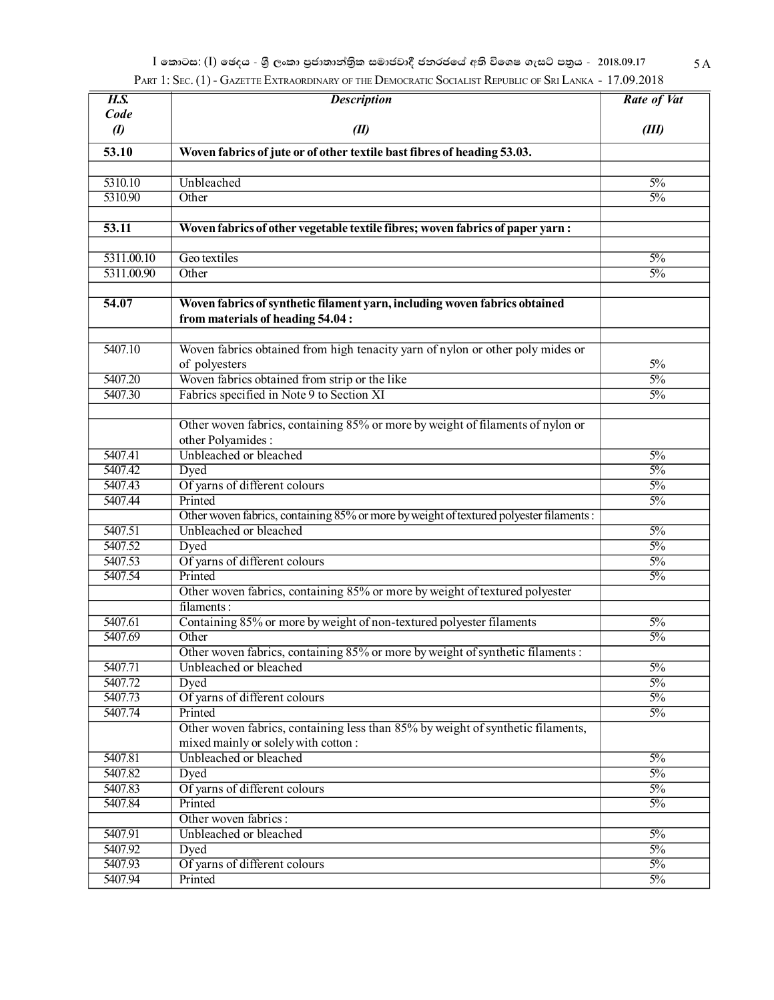$I$  කොටස: (I) ඡෙදය - ශුී ලංකා පුජාතාන්තිුක සමාජවාදී ජනරජයේ අති විශෙෂ ගැසට් පතුය - 2018.09.17 5 A PART 1: SEC. (1) - GAZETTE EXTRAORDINARY OF THE DEMOCRATIC SOCIALIST REPUBLIC OF SRI LANKA - 17.09.2018

| H.S.             | <b>Description</b>                                                                                                     | <b>Rate of Vat</b> |
|------------------|------------------------------------------------------------------------------------------------------------------------|--------------------|
| Code             |                                                                                                                        |                    |
| $\boldsymbol{v}$ | (II)                                                                                                                   | (III)              |
| 53.10            | Woven fabrics of jute or of other textile bast fibres of heading 53.03.                                                |                    |
|                  |                                                                                                                        |                    |
| 5310.10          | Unbleached                                                                                                             | $5\%$              |
| 5310.90          | Other                                                                                                                  | $5\%$              |
|                  |                                                                                                                        |                    |
| 53.11            | Woven fabrics of other vegetable textile fibres; woven fabrics of paper yarn:                                          |                    |
|                  |                                                                                                                        |                    |
| 5311.00.10       | Geo textiles                                                                                                           | $5\%$              |
| 5311.00.90       | Other                                                                                                                  | $5\%$              |
|                  |                                                                                                                        |                    |
| 54.07            | Woven fabrics of synthetic filament yarn, including woven fabrics obtained<br>from materials of heading 54.04:         |                    |
| 5407.10          | Woven fabrics obtained from high tenacity yarn of nylon or other poly mides or                                         |                    |
|                  | of polyesters                                                                                                          | 5%                 |
| 5407.20          | Woven fabrics obtained from strip or the like                                                                          | $5\%$              |
| 5407.30          | Fabrics specified in Note 9 to Section XI                                                                              | $5\%$              |
|                  |                                                                                                                        |                    |
|                  | Other woven fabrics, containing 85% or more by weight of filaments of nylon or<br>other Polyamides:                    |                    |
| 5407.41          | Unbleached or bleached                                                                                                 | $5\%$              |
| 5407.42          | Dyed                                                                                                                   | $5\%$              |
| 5407.43          | Of yarns of different colours                                                                                          | $5\%$              |
| 5407.44          | Printed                                                                                                                | $5\%$              |
|                  | Other woven fabrics, containing 85% or more by weight of textured polyester filaments:                                 |                    |
| 5407.51          | Unbleached or bleached                                                                                                 | $5\%$              |
| 5407.52          | Dyed                                                                                                                   | $5\%$              |
| 5407.53          | Of yarns of different colours                                                                                          | $5\%$              |
| 5407.54          | Printed                                                                                                                | $5\%$              |
|                  | Other woven fabrics, containing 85% or more by weight of textured polyester                                            |                    |
|                  | filaments:                                                                                                             |                    |
| 5407.61          | Containing 85% or more by weight of non-textured polyester filaments                                                   | $5\%$              |
| 5407.69          | Other                                                                                                                  | $5\%$              |
|                  | Other woven fabrics, containing 85% or more by weight of synthetic filaments:                                          |                    |
| 5407.71          | Unbleached or bleached                                                                                                 | $5\%$              |
| 5407.72          | Dyed                                                                                                                   | $5\%$              |
| 5407.73          | Of yarns of different colours<br>Printed                                                                               | $5\%$              |
| 5407.74          |                                                                                                                        | $5\%$              |
|                  | Other woven fabrics, containing less than 85% by weight of synthetic filaments,<br>mixed mainly or solely with cotton: |                    |
| 5407.81          | Unbleached or bleached                                                                                                 | $5\%$              |
| 5407.82          | Dyed                                                                                                                   | $5\%$              |
| 5407.83          | Of yarns of different colours                                                                                          | $5\%$              |
| 5407.84          | Printed                                                                                                                | $5\%$              |
|                  | Other woven fabrics:                                                                                                   |                    |
| 5407.91          | Unbleached or bleached                                                                                                 | $5\%$              |
| 5407.92          | Dyed                                                                                                                   | $5\%$              |
| 5407.93          | Of yarns of different colours                                                                                          | $5\%$              |
| 5407.94          | Printed                                                                                                                | $5\%$              |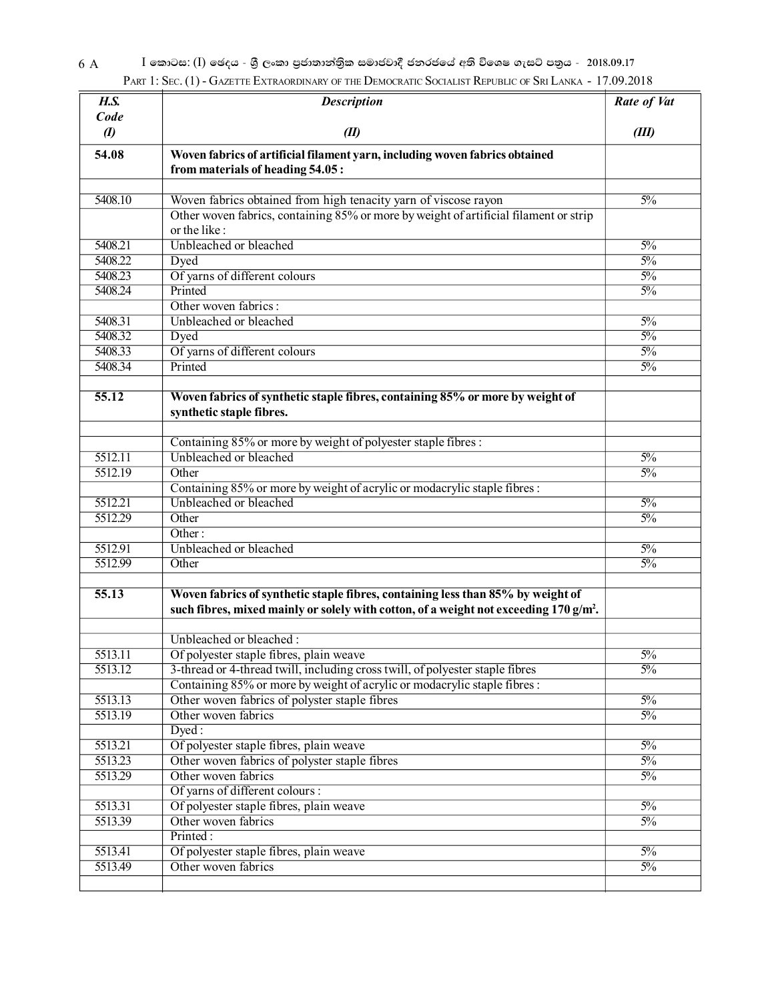$6 \text{ A} \qquad \qquad \text{I}$  කොටස: (I) ඡෙදය - ශුී ලංකා පුජාතාන්තිුක සමාජවාදී ජනරජයේ අති විශෙෂ ගැසට් පතුය - 2018.09.17 PART 1: SEC. (1) - GAZETTE EXTRAORDINARY OF THE DEMOCRATIC SOCIALIST REPUBLIC OF SRI LANKA - 17.09.2018

| H.S.               | <b>Description</b>                                                                                                                                                                   | Rate of Vat    |
|--------------------|--------------------------------------------------------------------------------------------------------------------------------------------------------------------------------------|----------------|
| Code               |                                                                                                                                                                                      |                |
| $\boldsymbol{v}$   | (II)                                                                                                                                                                                 | (III)          |
| 54.08              | Woven fabrics of artificial filament yarn, including woven fabrics obtained<br>from materials of heading 54.05:                                                                      |                |
| 5408.10            | Woven fabrics obtained from high tenacity yarn of viscose rayon                                                                                                                      | $5\%$          |
|                    | Other woven fabrics, containing 85% or more by weight of artificial filament or strip<br>or the like:                                                                                |                |
| 5408.21            | Unbleached or bleached                                                                                                                                                               | $5\%$          |
| 5408.22            | Dyed                                                                                                                                                                                 | $5\%$          |
| 5408.23            | Of yarns of different colours                                                                                                                                                        | $5\%$          |
| 5408.24            | Printed                                                                                                                                                                              | $5\%$          |
|                    | Other woven fabrics:                                                                                                                                                                 |                |
| 5408.31            | Unbleached or bleached                                                                                                                                                               | $5\%$          |
| 5408.32            | Dyed                                                                                                                                                                                 | $5\%$          |
| 5408.33            | Of yarns of different colours                                                                                                                                                        | $5\%$          |
| 5408.34            | Printed                                                                                                                                                                              | $5\%$          |
| 55.12              | Woven fabrics of synthetic staple fibres, containing 85% or more by weight of<br>synthetic staple fibres.                                                                            |                |
|                    | Containing 85% or more by weight of polyester staple fibres :                                                                                                                        |                |
| 5512.11            | Unbleached or bleached                                                                                                                                                               | $5\%$          |
| 5512.19            | Other                                                                                                                                                                                | $5\%$          |
|                    | Containing 85% or more by weight of acrylic or modacrylic staple fibres:                                                                                                             |                |
| 5512.21            | Unbleached or bleached                                                                                                                                                               | $5\%$          |
| 5512.29            | Other                                                                                                                                                                                | $5\%$          |
|                    | Other:                                                                                                                                                                               |                |
| 5512.91            | Unbleached or bleached                                                                                                                                                               | $5\%$          |
| 5512.99            | Other                                                                                                                                                                                | $5\%$          |
| $\overline{55.13}$ | Woven fabrics of synthetic staple fibres, containing less than 85% by weight of<br>such fibres, mixed mainly or solely with cotton, of a weight not exceeding 170 g/m <sup>2</sup> . |                |
|                    | Unbleached or bleached:                                                                                                                                                              |                |
| 5513.11            | Of polyester staple fibres, plain weave                                                                                                                                              | $\frac{50}{6}$ |
| 5513.12            | 3-thread or 4-thread twill, including cross twill, of polyester staple fibres                                                                                                        | $5\%$          |
|                    | Containing 85% or more by weight of acrylic or modacrylic staple fibres:                                                                                                             |                |
| 5513.13            | Other woven fabrics of polyster staple fibres                                                                                                                                        | $5\%$          |
| 5513.19            | Other woven fabrics                                                                                                                                                                  | $5\%$          |
|                    | Dyed:                                                                                                                                                                                |                |
| 5513.21            | Of polyester staple fibres, plain weave                                                                                                                                              | $5\%$          |
| 5513.23            | Other woven fabrics of polyster staple fibres                                                                                                                                        | $5\%$          |
| 5513.29            | Other woven fabrics                                                                                                                                                                  | $5\%$          |
|                    | Of yarns of different colours :                                                                                                                                                      |                |
| 5513.31            | Of polyester staple fibres, plain weave                                                                                                                                              | $5\%$          |
| 5513.39            | Other woven fabrics                                                                                                                                                                  | $5\%$          |
|                    | Printed:                                                                                                                                                                             |                |
| 5513.41            | Of polyester staple fibres, plain weave                                                                                                                                              | $5\%$          |
| 5513.49            | Other woven fabrics                                                                                                                                                                  | $5\%$          |
|                    |                                                                                                                                                                                      |                |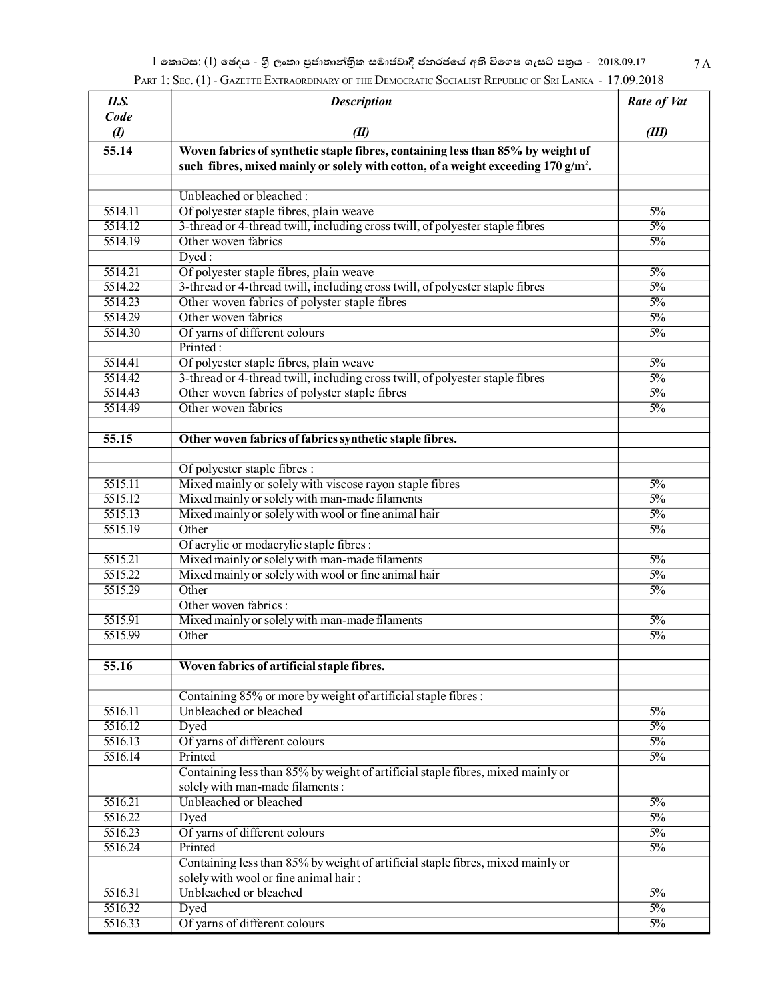$I$  කොටස: (I) ඡෙදය - ශුී ලංකා පුජාතාන්තිුක සමාජවාදී ජනරජයේ අති විශෙෂ ගැසට් පතුය - 2018.09.17 7 $\rm A$ PART 1: SEC. (1) - GAZETTE EXTRAORDINARY OF THE DEMOCRATIC SOCIALIST REPUBLIC OF SRI LANKA - 17.09.2018

| H.S.                  | <b>Description</b>                                                                            | Rate of Vat      |
|-----------------------|-----------------------------------------------------------------------------------------------|------------------|
| Code                  |                                                                                               |                  |
| $\boldsymbol{\theta}$ | (II)                                                                                          | (III)            |
| 55.14                 | Woven fabrics of synthetic staple fibres, containing less than 85% by weight of               |                  |
|                       | such fibres, mixed mainly or solely with cotton, of a weight exceeding 170 g/m <sup>2</sup> . |                  |
|                       |                                                                                               |                  |
|                       | Unbleached or bleached:                                                                       |                  |
| 5514.11               | Of polyester staple fibres, plain weave                                                       | $5\%$            |
| 5514.12               | 3-thread or 4-thread twill, including cross twill, of polyester staple fibres                 | $5\%$            |
| 5514.19               | Other woven fabrics                                                                           | $\frac{50}{6}$   |
|                       | Dyed:                                                                                         |                  |
| $\overline{5514.21}$  | Of polyester staple fibres, plain weave                                                       | $5\%$            |
| 5514.22               | 3-thread or 4-thread twill, including cross twill, of polyester staple fibres                 | $\frac{50}{6}$   |
| 5514.23               | Other woven fabrics of polyster staple fibres                                                 | $\frac{50}{6}$   |
| 5514.29               | Other woven fabrics                                                                           | $\frac{50}{6}$   |
| 5514.30               | Of yarns of different colours                                                                 | $\frac{5\%}{ }$  |
|                       | Printed:                                                                                      |                  |
| 5514.41               | Of polyester staple fibres, plain weave                                                       | $5\%$            |
| 5514.42               | 3-thread or 4-thread twill, including cross twill, of polyester staple fibres                 | $5\%$            |
| 5514.43               | Other woven fabrics of polyster staple fibres                                                 | $\frac{50}{6}$   |
| 5514.49               | Other woven fabrics                                                                           | $\frac{5\%}{ }$  |
|                       |                                                                                               |                  |
| $\overline{55.15}$    | Other woven fabrics of fabrics synthetic staple fibres.                                       |                  |
|                       |                                                                                               |                  |
|                       | Of polyester staple fibres :                                                                  |                  |
| 5515.11               | Mixed mainly or solely with viscose rayon staple fibres                                       | $\frac{50}{6}$   |
| $\overline{5515.12}$  | Mixed mainly or solely with man-made filaments                                                | $5\%$            |
| 5515.13               | Mixed mainly or solely with wool or fine animal hair                                          | $\frac{50}{6}$   |
| 5515.19               | Other                                                                                         | $\frac{5\%}{ }$  |
|                       | Of acrylic or modacrylic staple fibres :                                                      |                  |
| 5515.21               | Mixed mainly or solely with man-made filaments                                                | $5\%$            |
| 5515.22               | Mixed mainly or solely with wool or fine animal hair                                          | $\frac{50}{6}$   |
| 5515.29               | Other                                                                                         | $\frac{5\%}{ }$  |
|                       | Other woven fabrics:                                                                          |                  |
| 5515.91               | Mixed mainly or solely with man-made filaments                                                | $\frac{50}{6}$   |
| 5515.99               | Other                                                                                         | $\frac{5\%}{ }$  |
|                       |                                                                                               |                  |
| 55.16                 | Woven fabrics of artificial staple fibres.                                                    |                  |
|                       |                                                                                               |                  |
|                       | Containing 85% or more by weight of artificial staple fibres:                                 |                  |
| 5516.11               | Unbleached or bleached                                                                        | $\frac{50}{6}$   |
| 5516.12               | Dyed                                                                                          | $5\%$            |
| 5516.13               | Of yarns of different colours                                                                 | $\frac{50}{6}$   |
| 5516.14               | Printed                                                                                       | $\frac{50}{6}$   |
|                       | Containing less than 85% by weight of artificial staple fibres, mixed mainly or               |                  |
|                       | solely with man-made filaments:                                                               |                  |
| 5516.21               | Unbleached or bleached                                                                        | $\overline{5\%}$ |
| 5516.22               | Dyed                                                                                          | $\frac{50}{6}$   |
| 5516.23               | Of yarns of different colours                                                                 | $\frac{50}{6}$   |
| 5516.24               | Printed                                                                                       | $\frac{50}{6}$   |
|                       | Containing less than 85% by weight of artificial staple fibres, mixed mainly or               |                  |
|                       | solely with wool or fine animal hair:                                                         |                  |
| 5516.31               | Unbleached or bleached                                                                        | $\overline{5\%}$ |
| 5516.32               | Dyed                                                                                          | $\frac{50}{6}$   |
| 5516.33               | Of yarns of different colours                                                                 | $\frac{50}{6}$   |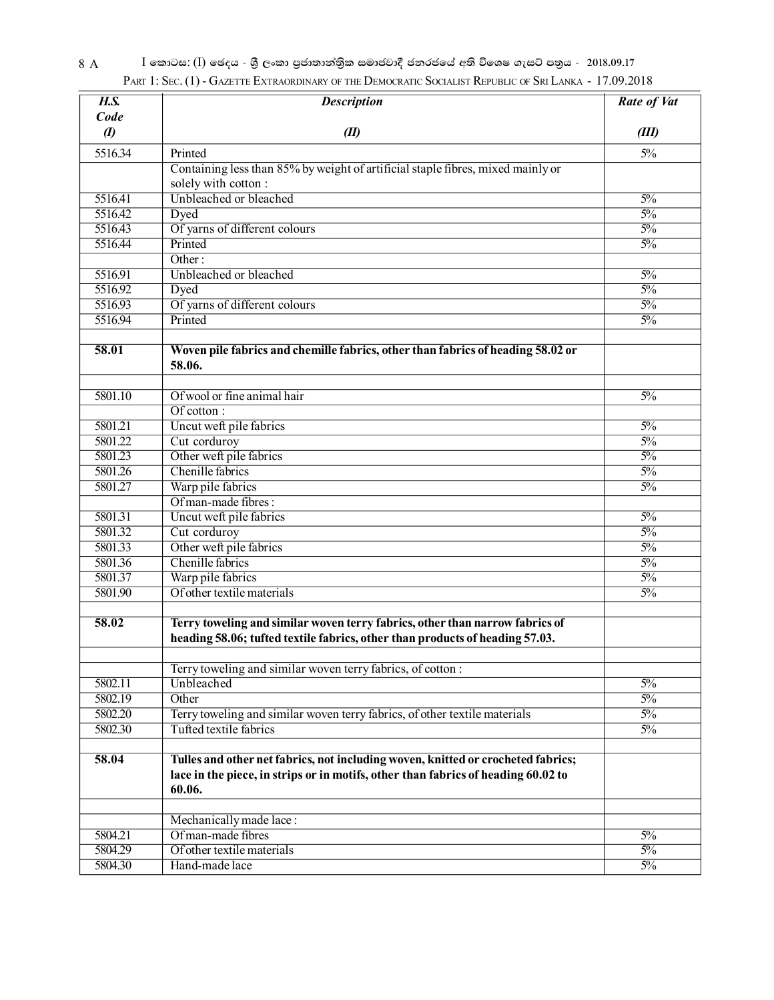| H.S.             | <b>Description</b>                                                                                                                                                                                                                                                                                                             | Rate of Vat    |
|------------------|--------------------------------------------------------------------------------------------------------------------------------------------------------------------------------------------------------------------------------------------------------------------------------------------------------------------------------|----------------|
| Code             |                                                                                                                                                                                                                                                                                                                                |                |
| $\boldsymbol{v}$ | (II)                                                                                                                                                                                                                                                                                                                           | (III)          |
| 5516.34          | Printed                                                                                                                                                                                                                                                                                                                        | $5\%$          |
|                  | Containing less than 85% by weight of artificial staple fibres, mixed mainly or                                                                                                                                                                                                                                                |                |
|                  | solely with cotton:                                                                                                                                                                                                                                                                                                            |                |
| 5516.41          | Unbleached or bleached                                                                                                                                                                                                                                                                                                         | $\frac{50}{6}$ |
| 5516.42          | Dyed                                                                                                                                                                                                                                                                                                                           | $\frac{50}{6}$ |
| 5516.43          | Of yarns of different colours                                                                                                                                                                                                                                                                                                  | $\frac{50}{6}$ |
| 5516.44          | Printed                                                                                                                                                                                                                                                                                                                        | $\frac{50}{6}$ |
|                  | $\overline{\text{Other:}}$                                                                                                                                                                                                                                                                                                     |                |
| 5516.91          | Unbleached or bleached                                                                                                                                                                                                                                                                                                         | $\frac{50}{6}$ |
| 5516.92          | Dyed                                                                                                                                                                                                                                                                                                                           | $\frac{50}{6}$ |
| 5516.93          | Of yarns of different colours                                                                                                                                                                                                                                                                                                  | $\frac{50}{6}$ |
| 5516.94          | Printed                                                                                                                                                                                                                                                                                                                        | $\frac{50}{6}$ |
| 58.01            | Woven pile fabrics and chemille fabrics, other than fabrics of heading 58.02 or                                                                                                                                                                                                                                                |                |
|                  | 58.06.                                                                                                                                                                                                                                                                                                                         |                |
| 5801.10          | Of wool or fine animal hair                                                                                                                                                                                                                                                                                                    | $\frac{50}{6}$ |
|                  | $Of \overline{C} \overline{C} \overline{C} \overline{C} \overline{C} \overline{C} \overline{C} \overline{C} \overline{C} \overline{C} \overline{C} \overline{C} \overline{C} \overline{C} \overline{C} \overline{C} \overline{C} \overline{C} \overline{C} \overline{C} \overline{C} \overline{C} \overline{C} \overline{C} \$ |                |
| 5801.21          | Uncut weft pile fabrics                                                                                                                                                                                                                                                                                                        | $\frac{50}{6}$ |
| 5801.22          | Cut corduroy                                                                                                                                                                                                                                                                                                                   | $\frac{50}{6}$ |
| 5801.23          | Other weft pile fabrics                                                                                                                                                                                                                                                                                                        | $\frac{50}{6}$ |
| 5801.26          | Chenille fabrics                                                                                                                                                                                                                                                                                                               | $\frac{50}{6}$ |
| 5801.27          | Warp pile fabrics                                                                                                                                                                                                                                                                                                              | $\frac{50}{6}$ |
|                  | Of man-made fibres:                                                                                                                                                                                                                                                                                                            |                |
| 5801.31          | Uncut weft pile fabrics                                                                                                                                                                                                                                                                                                        | $\frac{50}{6}$ |
| 5801.32          | Cut corduroy                                                                                                                                                                                                                                                                                                                   | $\frac{50}{6}$ |
| 5801.33          | Other weft pile fabrics                                                                                                                                                                                                                                                                                                        | $\frac{50}{6}$ |
| 5801.36          | Chenille fabrics                                                                                                                                                                                                                                                                                                               | $\frac{50}{6}$ |
| 5801.37          | Warp pile fabrics                                                                                                                                                                                                                                                                                                              | $\frac{50}{6}$ |
| 5801.90          | Of other textile materials                                                                                                                                                                                                                                                                                                     | $\frac{50}{6}$ |
| 58.02            | Terry toweling and similar woven terry fabrics, other than narrow fabrics of<br>heading 58.06; tufted textile fabrics, other than products of heading 57.03.                                                                                                                                                                   |                |
|                  | Terry toweling and similar woven terry fabrics, of cotton:                                                                                                                                                                                                                                                                     |                |
| 5802.11          | Unbleached                                                                                                                                                                                                                                                                                                                     | $\frac{50}{6}$ |
| 5802.19          | Other                                                                                                                                                                                                                                                                                                                          | $\frac{50}{6}$ |
| 5802.20          | Terry toweling and similar woven terry fabrics, of other textile materials                                                                                                                                                                                                                                                     | $\frac{50}{6}$ |
| 5802.30          | Tufted textile fabrics                                                                                                                                                                                                                                                                                                         | $\frac{50}{6}$ |
| 58.04            | Tulles and other net fabrics, not including woven, knitted or crocheted fabrics;<br>lace in the piece, in strips or in motifs, other than fabrics of heading 60.02 to<br>60.06.                                                                                                                                                |                |
|                  |                                                                                                                                                                                                                                                                                                                                |                |
| 5804.21          | Mechanically made lace:<br>Of man-made fibres                                                                                                                                                                                                                                                                                  | $\frac{50}{6}$ |
| 5804.29          | Of other textile materials                                                                                                                                                                                                                                                                                                     | $\frac{50}{6}$ |
| 5804.30          | Hand-made lace                                                                                                                                                                                                                                                                                                                 | $\frac{50}{6}$ |
|                  |                                                                                                                                                                                                                                                                                                                                |                |

#### 8 A <sup>I ලෙ</sup>කාටස: (I) ඡෙදය - ශුී ලංකා පුජාතාන්තිුක සමාජවාදී ජනරජයේ අති විශෙෂ ගැසට් පතුය - 2018.09.17 PART 1: SEC. (1) - GAZETTE EXTRAORDINARY OF THE DEMOCRATIC SOCIALIST REPUBLIC OF SRI LANKA - 17.09.2018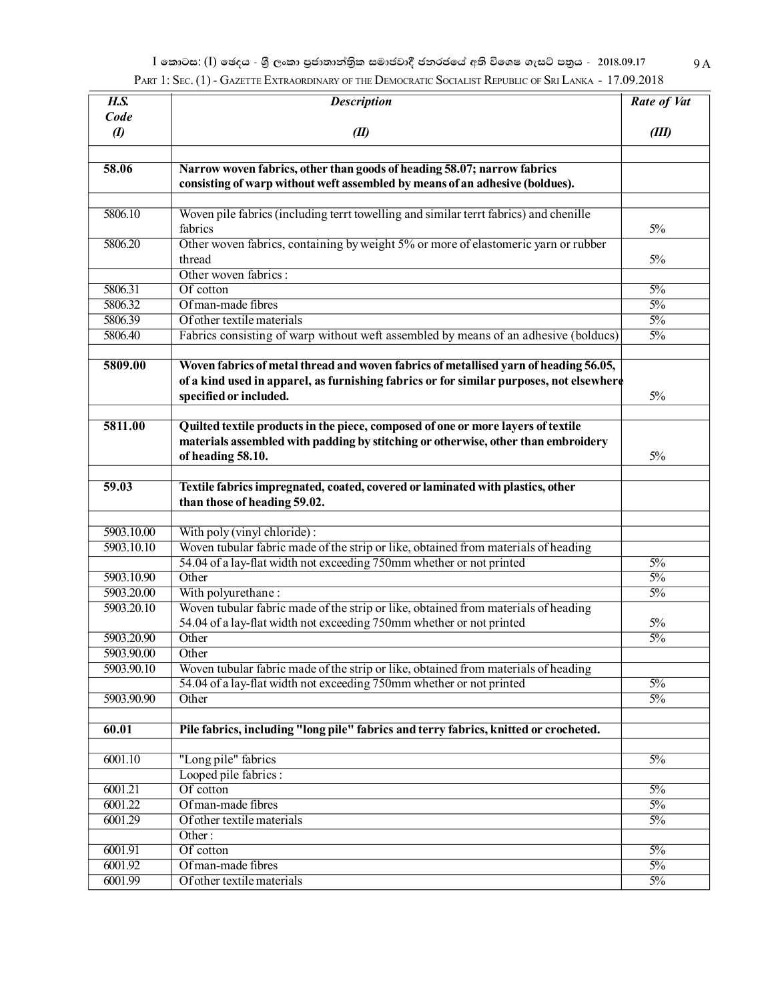$I$  කොටස: (I) ඡෙදය - ශුී ලංකා පුජාතාන්තිුක සමාජවාදී ජනරජයේ අති විශෙෂ ගැසට් පතුය - 2018.09.17 9 $\rm A$ PART 1: SEC. (1) - GAZETTE EXTRAORDINARY OF THE DEMOCRATIC SOCIALIST REPUBLIC OF SRI LANKA - 17.09.2018

| H.S.             | <b>Description</b>                                                                      | Rate of Vat     |
|------------------|-----------------------------------------------------------------------------------------|-----------------|
| Code             |                                                                                         |                 |
| $\boldsymbol{I}$ | (II)                                                                                    | (III)           |
|                  |                                                                                         |                 |
| 58.06            | Narrow woven fabrics, other than goods of heading 58.07; narrow fabrics                 |                 |
|                  | consisting of warp without weft assembled by means of an adhesive (boldues).            |                 |
|                  |                                                                                         |                 |
| 5806.10          | Woven pile fabrics (including terrt towelling and similar terrt fabrics) and chenille   |                 |
|                  | fabrics                                                                                 | $5\%$           |
| 5806.20          | Other woven fabrics, containing by weight 5% or more of elastomeric yarn or rubber      |                 |
|                  | thread                                                                                  | $5\%$           |
|                  | Other woven fabrics:                                                                    |                 |
| 5806.31          | Of cotton                                                                               | $\frac{50}{6}$  |
| 5806.32          | Of man-made fibres                                                                      | $\frac{50}{6}$  |
| 5806.39          | Of other textile materials                                                              | $\frac{50}{6}$  |
| 5806.40          | Fabrics consisting of warp without weft assembled by means of an adhesive (bolducs)     | $\frac{50}{6}$  |
| 5809.00          | Woven fabrics of metal thread and woven fabrics of metallised yarn of heading 56.05,    |                 |
|                  | of a kind used in apparel, as furnishing fabrics or for similar purposes, not elsewhere |                 |
|                  | specified or included.                                                                  | 5%              |
| 5811.00          |                                                                                         |                 |
|                  | Quilted textile products in the piece, composed of one or more layers of textile        |                 |
|                  | materials assembled with padding by stitching or otherwise, other than embroidery       | $5\%$           |
|                  | of heading 58.10.                                                                       |                 |
| 59.03            | Textile fabrics impregnated, coated, covered or laminated with plastics, other          |                 |
|                  | than those of heading 59.02.                                                            |                 |
|                  |                                                                                         |                 |
| 5903.10.00       | With poly (vinyl chloride):                                                             |                 |
| 5903.10.10       | Woven tubular fabric made of the strip or like, obtained from materials of heading      |                 |
|                  | 54.04 of a lay-flat width not exceeding 750mm whether or not printed                    | $\frac{50}{6}$  |
| 5903.10.90       | Other                                                                                   | $\frac{50}{6}$  |
| 5903.20.00       | With polyurethane:                                                                      | $\frac{50}{6}$  |
| 5903.20.10       | Woven tubular fabric made of the strip or like, obtained from materials of heading      |                 |
|                  | 54.04 of a lay-flat width not exceeding 750mm whether or not printed                    | 5%              |
| 5903.20.90       | Other                                                                                   | $\frac{5\%}{ }$ |
| 5903.90.00       | Other                                                                                   |                 |
| 5903.90.10       | Woven tubular fabric made of the strip or like, obtained from materials of heading      |                 |
|                  | 54.04 of a lay-flat width not exceeding 750mm whether or not printed                    | $\frac{5\%}{ }$ |
| 5903.90.90       | Other                                                                                   | $\frac{50}{6}$  |
|                  |                                                                                         |                 |
| 60.01            | Pile fabrics, including "long pile" fabrics and terry fabrics, knitted or crocheted.    |                 |
|                  |                                                                                         |                 |
| 6001.10          | "Long pile" fabrics                                                                     | $5\%$           |
|                  | Looped pile fabrics:                                                                    |                 |
| 6001.21          | Of cotton                                                                               | $\frac{50}{6}$  |
| 6001.22          | Of man-made fibres                                                                      | $\frac{5\%}{ }$ |
| 6001.29          | Of other textile materials                                                              | $\frac{50}{6}$  |
|                  | Other:                                                                                  |                 |
| 6001.91          | Of cotton                                                                               | $\frac{5\%}{ }$ |
| 6001.92          | Of man-made fibres                                                                      | $\frac{5\%}{ }$ |
| 6001.99          | Of other textile materials                                                              | $\frac{50}{6}$  |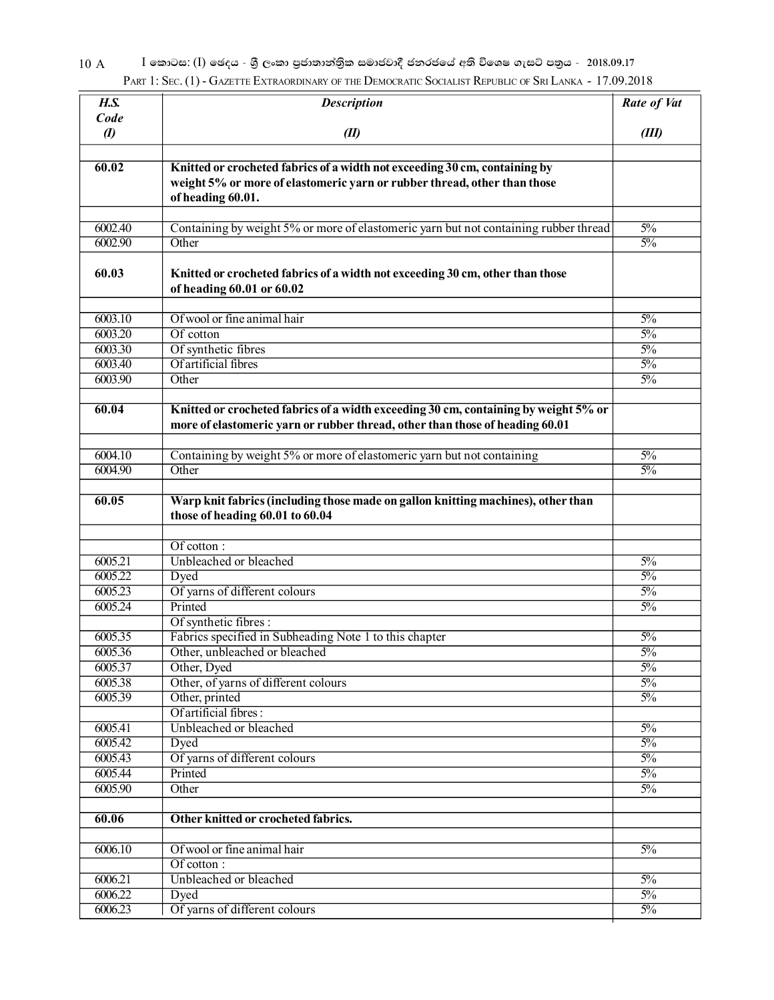10 A <sup>I</sup> නොටස: (I) ඡෙදය - ශුී ලංකා පුජාතාන්තිුක සමාජවාදී ජනරජයේ අති විශෙෂ ගැසට් පතුය - 2018.09.17 PART 1: SEC. (1) - GAZETTE EXTRAORDINARY OF THE DEMOCRATIC SOCIALIST REPUBLIC OF SRI LANKA - 17.09.2018

| H.S.               | <b>Description</b>                                                                   | Rate of Vat    |
|--------------------|--------------------------------------------------------------------------------------|----------------|
| Code               |                                                                                      |                |
| $\boldsymbol{v}$   | (II)                                                                                 | (III)          |
|                    |                                                                                      |                |
| 60.02              | Knitted or crocheted fabrics of a width not exceeding 30 cm, containing by           |                |
|                    | weight 5% or more of elastomeric yarn or rubber thread, other than those             |                |
|                    | of heading 60.01.                                                                    |                |
|                    |                                                                                      |                |
| 6002.40            | Containing by weight 5% or more of elastomeric yarn but not containing rubber thread | $5\%$          |
| 6002.90            | Other                                                                                | $5\%$          |
| 60.03              | Knitted or crocheted fabrics of a width not exceeding 30 cm, other than those        |                |
|                    | of heading 60.01 or 60.02                                                            |                |
|                    | Of wool or fine animal hair                                                          |                |
| 6003.10<br>6003.20 | Of cotton                                                                            | $5\%$<br>$5\%$ |
| 6003.30            | Of synthetic fibres                                                                  | $5\%$          |
| 6003.40            | Of artificial fibres                                                                 | $5\%$          |
| 6003.90            | Other                                                                                | $5\%$          |
|                    |                                                                                      |                |
| 60.04              | Knitted or crocheted fabrics of a width exceeding 30 cm, containing by weight 5% or  |                |
|                    | more of elastomeric yarn or rubber thread, other than those of heading 60.01         |                |
|                    |                                                                                      |                |
| 6004.10            | Containing by weight 5% or more of elastomeric yarn but not containing               | $5\%$          |
| 6004.90            | Other                                                                                | $5\%$          |
|                    |                                                                                      |                |
| 60.05              | Warp knit fabrics (including those made on gallon knitting machines), other than     |                |
|                    | those of heading 60.01 to 60.04                                                      |                |
|                    |                                                                                      |                |
|                    | Of cotton:                                                                           |                |
| 6005.21            | Unbleached or bleached                                                               | $5\%$          |
| 6005.22            | Dyed                                                                                 | $5\%$          |
| 6005.23            | Of yarns of different colours                                                        | $5\%$          |
| 6005.24            | Printed                                                                              | $5\%$          |
|                    | Of synthetic fibres:                                                                 |                |
| 6005.35            | Fabrics specified in Subheading Note 1 to this chapter                               | $5\%$          |
| 6005.36            | Other, unbleached or bleached                                                        | $5\%$          |
| 6005.37            | Other, Dyed                                                                          | $5\%$          |
| 6005.38            | Other, of yarns of different colours                                                 | $5\%$          |
| 6005.39            | Other, printed<br>Of artificial fibres:                                              | $5\%$          |
|                    | Unbleached or bleached                                                               |                |
| 6005.41<br>6005.42 |                                                                                      | $5\%$<br>$5\%$ |
| 6005.43            | Dyed                                                                                 | $5\%$          |
| 6005.44            | Of yarns of different colours<br>Printed                                             | $5\%$          |
| 6005.90            | Other                                                                                | $5\%$          |
|                    |                                                                                      |                |
| 60.06              | Other knitted or crocheted fabrics.                                                  |                |
|                    |                                                                                      |                |
| 6006.10            | Of wool or fine animal hair                                                          | $5\%$          |
|                    | Of cotton:                                                                           |                |
| 6006.21            | Unbleached or bleached                                                               | $5\%$          |
| 6006.22            | Dyed                                                                                 | $5\%$          |
| 6006.23            | Of yarns of different colours                                                        | $5\%$          |